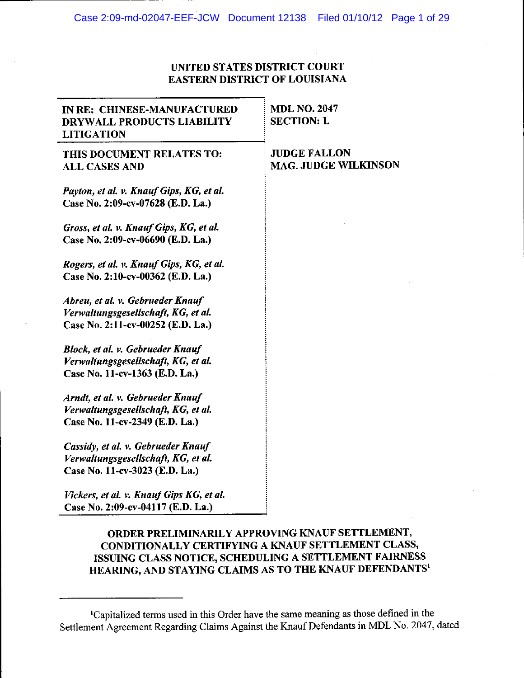# UNITED STATES DISTRICT COURT **EASTERN DISTRICT OF LOUISIANA**

| IN RE: CHINESE-MANUFACTURED<br>DRYWALL PRODUCTS LIABILITY<br><b>LITIGATION</b>                               | <b>MDL NO. 2047</b><br><b>SECTION: L</b>           |
|--------------------------------------------------------------------------------------------------------------|----------------------------------------------------|
| THIS DOCUMENT RELATES TO:<br><b>ALL CASES AND</b>                                                            | <b>JUDGE FALLON</b><br><b>MAG. JUDGE WILKINSON</b> |
| Payton, et al. v. Knauf Gips, KG, et al.<br>Case No. 2:09-cv-07628 (E.D. La.)                                |                                                    |
| Gross, et al. v. Knauf Gips, KG, et al.<br>Case No. 2:09-cv-06690 (E.D. La.)                                 |                                                    |
| Rogers, et al. v. Knauf Gips, KG, et al.<br>Case No. 2:10-cv-00362 (E.D. La.)                                |                                                    |
| Abreu, et al. v. Gebrueder Knauf<br>Verwaltungsgesellschaft, KG, et al.<br>Case No. 2:11-cv-00252 (E.D. La.) |                                                    |
| Block, et al. v. Gebrueder Knauf<br>Verwaltungsgesellschaft, KG, et al.<br>Case No. 11-cv-1363 (E.D. La.)    |                                                    |
| Arndt, et al. v. Gebrueder Knauf<br>Verwaltungsgesellschaft, KG, et al.<br>Case No. 11-cv-2349 (E.D. La.)    |                                                    |
| Cassidy, et al. v. Gebrueder Knauf<br>Verwaltungsgesellschaft, KG, et al.<br>Case No. 11-cv-3023 (E.D. La.)  |                                                    |
| Vickers, et al. v. Knauf Gips KG, et al.                                                                     |                                                    |

Case No. 2:09-cv-04117 (E.D. La.)

# ORDER PRELIMINARILY APPROVING KNAUF SETTLEMENT, CONDITIONALLY CERTIFYING A KNAUF SETTLEMENT CLASS, ISSUING CLASS NOTICE, SCHEDULING A SETTLEMENT FAIRNESS HEARING, AND STAYING CLAIMS AS TO THE KNAUF DEFENDANTS'

<sup>&#</sup>x27;Capitalized terms used in this Order have the same meaning as those defined in the Settlement Agreement Regarding Claims Against the Knauf Defendants in MDL No. 2047, dated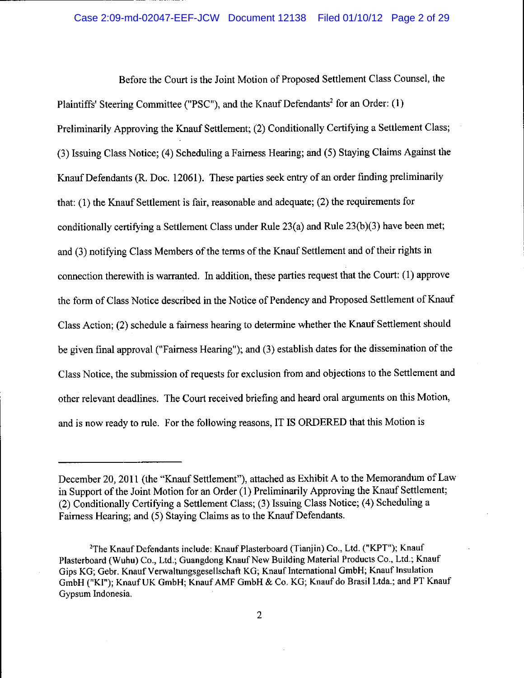# Case 2:09-md-02047-EEF-JCW Document 12138 Filed 01/10/12 Page 2 of 29

Before the Court is the Joint Motion of Proposed Settlement Class Counsel, the Plaintiffs' Steering Committee ("PSC"), and the Knauf Defendants<sup>2</sup> for an Order: (1) Preliminarily Approving the Knauf Settlement; (2) Conditionally Certifying a Settlement Class; (3) Issuing Class Notice; (4) Scheduling a Fairness Hearing; and (5) Staying Claims Against the Knauf Defendants (R. Doc. 12061). These parties seek entry of an order finding preliminarily that:  $(1)$  the Knauf Settlement is fair, reasonable and adequate;  $(2)$  the requirements for conditionally certifying a Settlement Class under Rule  $23(a)$  and Rule  $23(b)(3)$  have been met; and (3) notifying Class Members of the terms of the Knauf Settlement and of their rights in connection therewith is warranted. In addition, these parties request that the Court: (1) approve the form of Class Notice described in the Notice of Pendency and Proposed Settlement of Knauf Class Action; (2) schedule a fairness hearing to determine whether the Knauf Settlement should be given final approval ("Fairness Hearing"); and (3) establish dates for the dissemination of the Class Notice, the submission of requests for exclusion from and objections to the Settlement and other relevant deadlines. The Court received briefing and heard oral arguments on this Motion, and is now ready to rule. For the following reasons, IT IS ORDERED that this Motion is

December 20, 2011 (the "Knauf Settlement"), attached as Exhibit A to the Memorandum of Law in Support of the Joint Motion for an Order (1) Preliminarily Approving the Knauf Settlement; (2) Conditionally Certifying a Settlement Class; (3) Issuing Class Notice; (4) Scheduling a Fairness Hearing; and (5) Staying Claims as to the Knauf Defendants.

<sup>&</sup>lt;sup>2</sup>The Knauf Defendants include: Knauf Plasterboard (Tianjin) Co., Ltd. ("KPT"); Knauf Plasterboard (Wuhu) Co., Ltd.; Guangdong Knauf New Building Material Products Co., Ltd.; Knauf Gips KG; Gebr. Knauf Verwaltungsgesellschaft KG; Knauf International GmbH; Knauf Insulation GmbH ("KI"); Knauf UK GmbH; Knauf AMF GmbH & Co. KG; Knauf do Brasil Ltda.; and PT Knauf Gypsum Indonesia.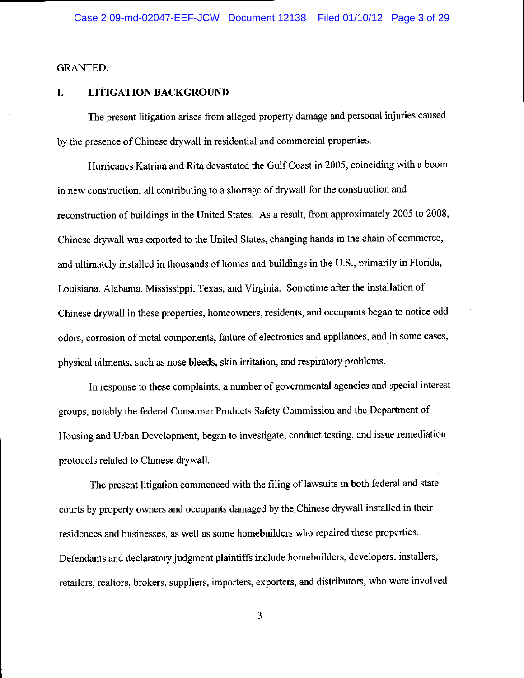# **GRANTED.**

#### I. **LITIGATION BACKGROUND**

The present litigation arises from alleged property damage and personal injuries caused by the presence of Chinese drywall in residential and commercial properties.

Hurricanes Katrina and Rita devastated the Gulf Coast in 2005, coinciding with a boom in new construction, all contributing to a shortage of drywall for the construction and reconstruction of buildings in the United States. As a result, from approximately 2005 to 2008, Chinese drywall was exported to the United States, changing hands in the chain of commerce, and ultimately installed in thousands of homes and buildings in the U.S., primarily in Florida, Louisiana, Alabama, Mississippi, Texas, and Virginia. Sometime after the installation of Chinese drywall in these properties, homeowners, residents, and occupants began to notice odd odors, corrosion of metal components, failure of electronics and appliances, and in some cases, physical ailments, such as nose bleeds, skin irritation, and respiratory problems.

In response to these complaints, a number of governmental agencies and special interest groups, notably the federal Consumer Products Safety Commission and the Department of Housing and Urban Development, began to investigate, conduct testing, and issue remediation protocols related to Chinese drywall.

The present litigation commenced with the filing of lawsuits in both federal and state courts by property owners and occupants damaged by the Chinese drywall installed in their residences and businesses, as well as some homebuilders who repaired these properties. Defendants and declaratory judgment plaintiffs include homebuilders, developers, installers, retailers, realtors, brokers, suppliers, importers, exporters, and distributors, who were involved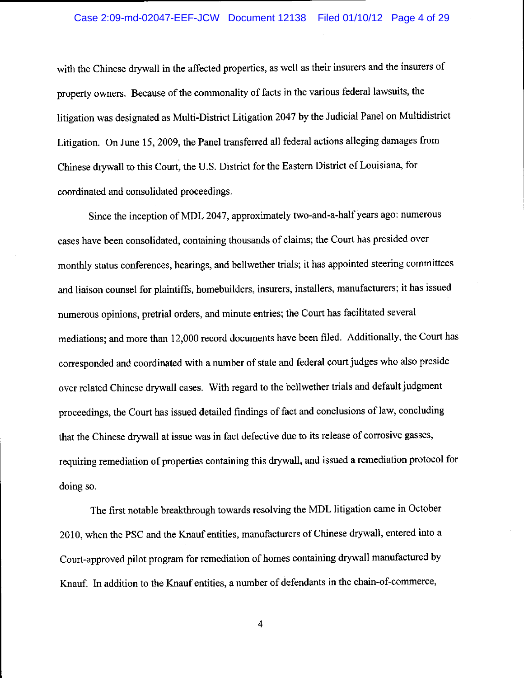## Case 2:09-md-02047-EEF-JCW Document 12138 Filed 01/10/12 Page 4 of 29

with the Chinese drywall in the affected properties, as well as their insurers and the insurers of property owners. Because of the commonality of facts in the various federal lawsuits, the litigation was designated as Multi-District Litigation 2047 by the Judicial Panel on Multidistrict Litigation. On June 15, 2009, the Panel transferred all federal actions alleging damages from Chinese drywall to this Court, the U.S. District for the Eastern District of Louisiana, for coordinated and consolidated proceedings.

Since the inception of MDL 2047, approximately two-and-a-half years ago: numerous cases have been consolidated, containing thousands of claims; the Court has presided over monthly status conferences, hearings, and bellwether trials; it has appointed steering committees and liaison counsel for plaintiffs, homebuilders, insurers, installers, manufacturers; it has issued numerous opinions, pretrial orders, and minute entries; the Court has facilitated several mediations; and more than 12,000 record documents have been filed. Additionally, the Court has corresponded and coordinated with a number of state and federal court judges who also preside over related Chinese drywall cases. With regard to the bellwether trials and default judgment proceedings, the Court has issued detailed findings of fact and conclusions of law, concluding that the Chinese drywall at issue was in fact defective due to its release of corrosive gasses, requiring remediation of properties containing this drywall, and issued a remediation protocol for doing so.

The first notable breakthrough towards resolving the MDL litigation came in October 2010, when the PSC and the Knauf entities, manufacturers of Chinese drywall, entered into a Court-approved pilot program for remediation of homes containing drywall manufactured by Knauf. In addition to the Knauf entities, a number of defendants in the chain-of-commerce,

 $\overline{4}$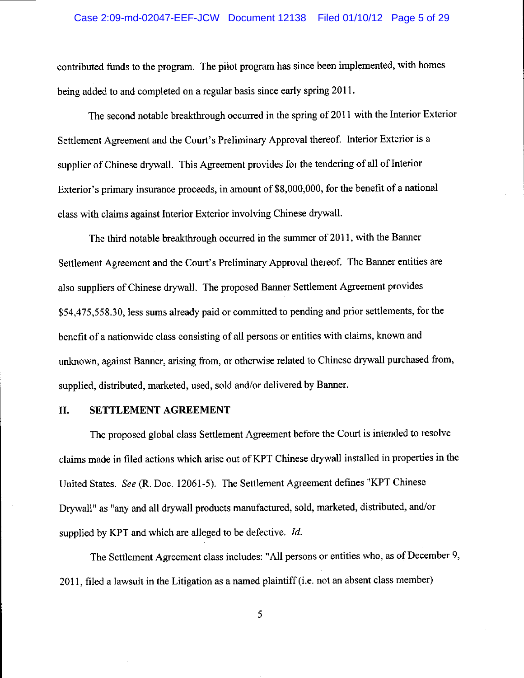# Case 2:09-md-02047-EEF-JCW Document 12138 Filed 01/10/12 Page 5 of 29

contributed funds to the program. The pilot program has since been implemented, with homes being added to and completed on a regular basis since early spring 2011.

The second notable breakthrough occurred in the spring of 2011 with the Interior Exterior Settlement Agreement and the Court's Preliminary Approval thereof. Interior Exterior is a supplier of Chinese drywall. This Agreement provides for the tendering of all of Interior Exterior's primary insurance proceeds, in amount of \$8,000,000, for the benefit of a national class with claims against Interior Exterior involving Chinese drywall.

The third notable breakthrough occurred in the summer of 2011, with the Banner Settlement Agreement and the Court's Preliminary Approval thereof. The Banner entities are also suppliers of Chinese drywall. The proposed Banner Settlement Agreement provides \$54,475,558.30, less sums already paid or committed to pending and prior settlements, for the benefit of a nationwide class consisting of all persons or entities with claims, known and unknown, against Banner, arising from, or otherwise related to Chinese drywall purchased from, supplied, distributed, marketed, used, sold and/or delivered by Banner.

#### II. SETTLEMENT AGREEMENT

The proposed global class Settlement Agreement before the Court is intended to resolve claims made in filed actions which arise out of KPT Chinese drywall installed in properties in the United States. See (R. Doc. 12061-5). The Settlement Agreement defines "KPT Chinese Drywall" as "any and all drywall products manufactured, sold, marketed, distributed, and/or supplied by KPT and which are alleged to be defective. Id.

The Settlement Agreement class includes: "All persons or entities who, as of December 9, 2011, filed a lawsuit in the Litigation as a named plaintiff (i.e. not an absent class member)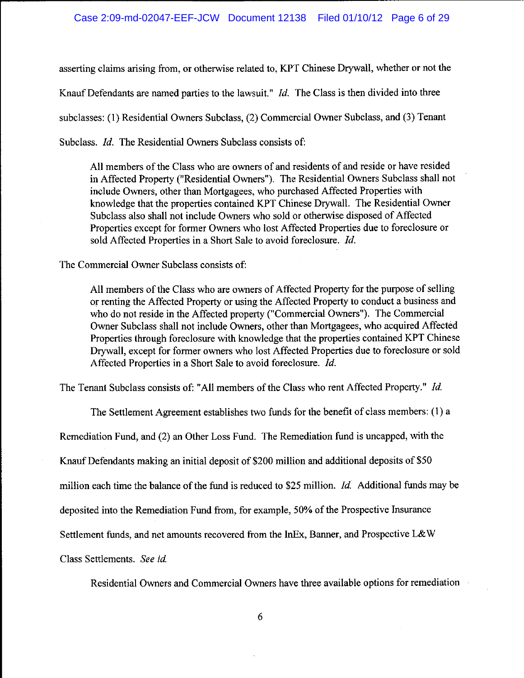asserting claims arising from, or otherwise related to, KPT Chinese Drywall, whether or not the Knauf Defendants are named parties to the lawsuit." *Id.* The Class is then divided into three subclasses: (1) Residential Owners Subclass, (2) Commercial Owner Subclass, and (3) Tenant Subclass. *Id.* The Residential Owners Subclass consists of:

All members of the Class who are owners of and residents of and reside or have resided in Affected Property ("Residential Owners"). The Residential Owners Subclass shall not include Owners, other than Mortgagees, who purchased Affected Properties with knowledge that the properties contained KPT Chinese Drywall. The Residential Owner Subclass also shall not include Owners who sold or otherwise disposed of Affected Properties except for former Owners who lost Affected Properties due to foreclosure or sold Affected Properties in a Short Sale to avoid foreclosure. Id.

The Commercial Owner Subclass consists of:

All members of the Class who are owners of Affected Property for the purpose of selling or renting the Affected Property or using the Affected Property to conduct a business and who do not reside in the Affected property ("Commercial Owners"). The Commercial Owner Subclass shall not include Owners, other than Mortgagees, who acquired Affected Properties through foreclosure with knowledge that the properties contained KPT Chinese Drywall, except for former owners who lost Affected Properties due to foreclosure or sold Affected Properties in a Short Sale to avoid foreclosure. Id.

The Tenant Subclass consists of: "All members of the Class who rent Affected Property." Id.

The Settlement Agreement establishes two funds for the benefit of class members: (1) a

Remediation Fund, and (2) an Other Loss Fund. The Remediation fund is uncapped, with the

Knauf Defendants making an initial deposit of \$200 million and additional deposits of \$50

million each time the balance of the fund is reduced to \$25 million. *Id.* Additional funds may be

deposited into the Remediation Fund from, for example, 50% of the Prospective Insurance

Settlement funds, and net amounts recovered from the InEx, Banner, and Prospective L&W

Class Settlements. See id.

Residential Owners and Commercial Owners have three available options for remediation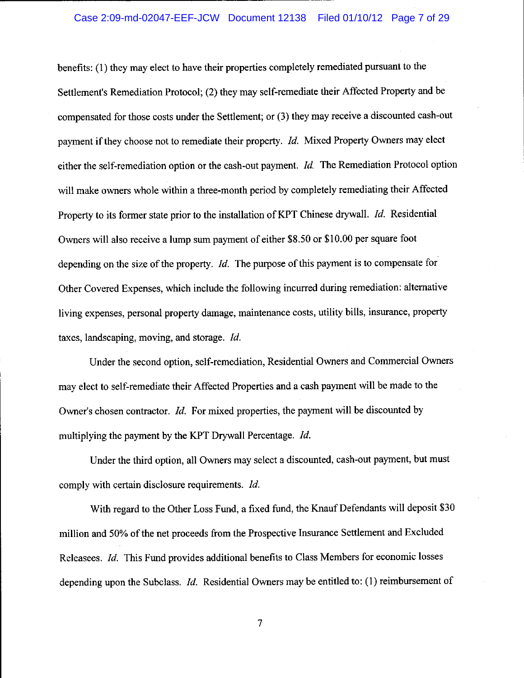## Case 2:09-md-02047-EEF-JCW Document 12138 Filed 01/10/12 Page 7 of 29

benefits: (1) they may elect to have their properties completely remediated pursuant to the Settlement's Remediation Protocol; (2) they may self-remediate their Affected Property and be compensated for those costs under the Settlement; or (3) they may receive a discounted cash-out payment if they choose not to remediate their property. Id. Mixed Property Owners may elect either the self-remediation option or the cash-out payment.  $Id$ . The Remediation Protocol option will make owners whole within a three-month period by completely remediating their Affected Property to its former state prior to the installation of KPT Chinese drywall. Id. Residential Owners will also receive a lump sum payment of either \$8.50 or \$10.00 per square foot depending on the size of the property.  $Id$ . The purpose of this payment is to compensate for Other Covered Expenses, which include the following incurred during remediation: alternative living expenses, personal property damage, maintenance costs, utility bills, insurance, property taxes, landscaping, moving, and storage. Id.

Under the second option, self-remediation, Residential Owners and Commercial Owners may elect to self-remediate their Affected Properties and a cash payment will be made to the Owner's chosen contractor. *Id.* For mixed properties, the payment will be discounted by multiplying the payment by the KPT Drywall Percentage. Id.

Under the third option, all Owners may select a discounted, cash-out payment, but must comply with certain disclosure requirements. *Id.* 

With regard to the Other Loss Fund, a fixed fund, the Knauf Defendants will deposit \$30 million and 50% of the net proceeds from the Prospective Insurance Settlement and Excluded Releasees. Id. This Fund provides additional benefits to Class Members for economic losses depending upon the Subclass. Id. Residential Owners may be entitled to: (1) reimbursement of

 $\overline{7}$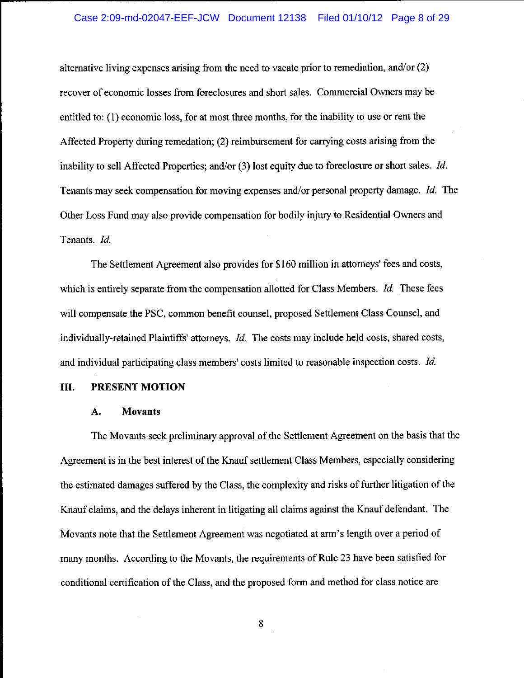# Case 2:09-md-02047-EEF-JCW Document 12138 Filed 01/10/12 Page 8 of 29

alternative living expenses arising from the need to vacate prior to remediation, and/or  $(2)$ recover of economic losses from foreclosures and short sales. Commercial Owners may be entitled to: (1) economic loss, for at most three months, for the inability to use or rent the Affected Property during remedation; (2) reimbursement for carrying costs arising from the inability to sell Affected Properties; and/or  $(3)$  lost equity due to foreclosure or short sales. *Id.* Tenants may seek compensation for moving expenses and/or personal property damage. Id. The Other Loss Fund may also provide compensation for bodily injury to Residential Owners and Tenants. Id.

The Settlement Agreement also provides for \$160 million in attorneys' fees and costs, which is entirely separate from the compensation allotted for Class Members. *Id.* These fees will compensate the PSC, common benefit counsel, proposed Settlement Class Counsel, and individually-retained Plaintiffs' attorneys. Id. The costs may include held costs, shared costs, and individual participating class members' costs limited to reasonable inspection costs. Id.

#### **III.** PRESENT MOTION

#### A. **Movants**

The Movants seek preliminary approval of the Settlement Agreement on the basis that the Agreement is in the best interest of the Knauf settlement Class Members, especially considering the estimated damages suffered by the Class, the complexity and risks of further litigation of the Knauf claims, and the delays inherent in litigating all claims against the Knauf defendant. The Movants note that the Settlement Agreement was negotiated at arm's length over a period of many months. According to the Movants, the requirements of Rule 23 have been satisfied for conditional certification of the Class, and the proposed form and method for class notice are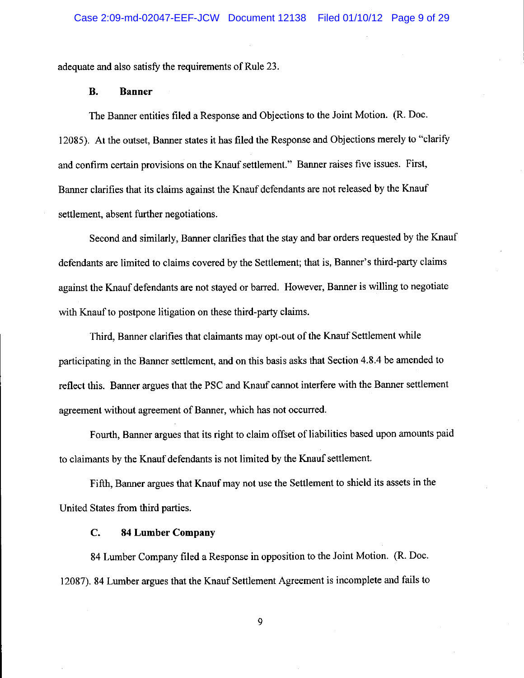adequate and also satisfy the requirements of Rule 23.

#### **B. Banner**

The Banner entities filed a Response and Objections to the Joint Motion. (R. Doc. 12085). At the outset, Banner states it has filed the Response and Objections merely to "clarify and confirm certain provisions on the Knauf settlement." Banner raises five issues. First, Banner clarifies that its claims against the Knauf defendants are not released by the Knauf settlement, absent further negotiations.

Second and similarly, Banner clarifies that the stay and bar orders requested by the Knauf defendants are limited to claims covered by the Settlement; that is, Banner's third-party claims against the Knauf defendants are not stayed or barred. However, Banner is willing to negotiate with Knauf to postpone litigation on these third-party claims.

Third, Banner clarifies that claimants may opt-out of the Knauf Settlement while participating in the Banner settlement, and on this basis asks that Section 4.8.4 be amended to reflect this. Banner argues that the PSC and Knauf cannot interfere with the Banner settlement agreement without agreement of Banner, which has not occurred.

Fourth, Banner argues that its right to claim offset of liabilities based upon amounts paid to claimants by the Knauf defendants is not limited by the Knauf settlement.

Fifth, Banner argues that Knauf may not use the Settlement to shield its assets in the United States from third parties.

#### $C_{\bullet}$ **84 Lumber Company**

84 Lumber Company filed a Response in opposition to the Joint Motion. (R. Doc. 12087). 84 Lumber argues that the Knauf Settlement Agreement is incomplete and fails to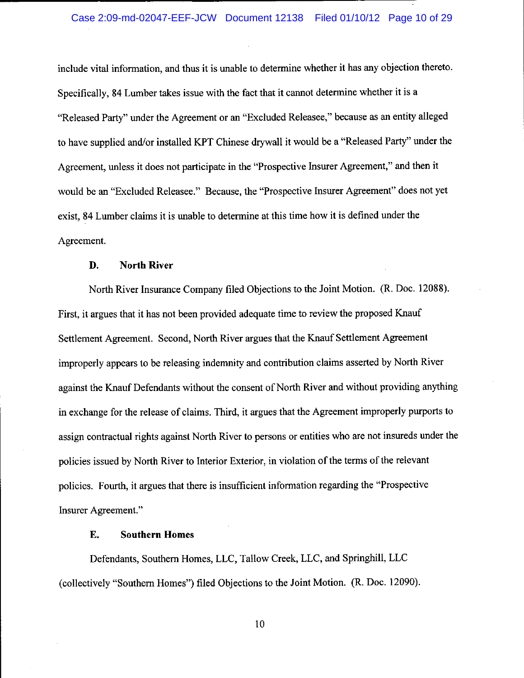include vital information, and thus it is unable to determine whether it has any objection thereto. Specifically, 84 Lumber takes issue with the fact that it cannot determine whether it is a "Released Party" under the Agreement or an "Excluded Releasee," because as an entity alleged to have supplied and/or installed KPT Chinese drywall it would be a "Released Party" under the Agreement, unless it does not participate in the "Prospective Insurer Agreement," and then it would be an "Excluded Releasee." Because, the "Prospective Insurer Agreement" does not yet exist, 84 Lumber claims it is unable to determine at this time how it is defined under the Agreement.

#### **North River** D.

North River Insurance Company filed Objections to the Joint Motion. (R. Doc. 12088). First, it argues that it has not been provided adequate time to review the proposed Knauf Settlement Agreement. Second, North River argues that the Knauf Settlement Agreement improperly appears to be releasing indemnity and contribution claims asserted by North River against the Knauf Defendants without the consent of North River and without providing anything in exchange for the release of claims. Third, it argues that the Agreement improperly purports to assign contractual rights against North River to persons or entities who are not insureds under the policies issued by North River to Interior Exterior, in violation of the terms of the relevant policies. Fourth, it argues that there is insufficient information regarding the "Prospective" Insurer Agreement."

#### Е. **Southern Homes**

Defendants, Southern Homes, LLC, Tallow Creek, LLC, and Springhill, LLC (collectively "Southern Homes") filed Objections to the Joint Motion. (R. Doc. 12090).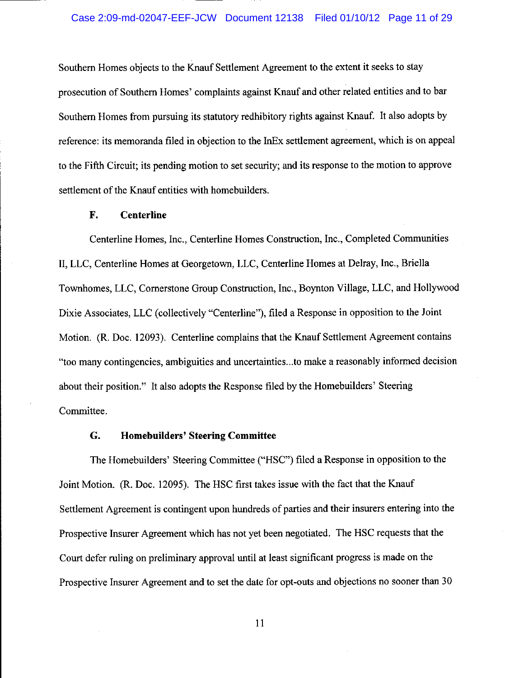Southern Homes objects to the Knauf Settlement Agreement to the extent it seeks to stay prosecution of Southern Homes' complaints against Knauf and other related entities and to bar Southern Homes from pursuing its statutory redhibitory rights against Knauf. It also adopts by reference: its memoranda filed in objection to the InEx settlement agreement, which is on appeal to the Fifth Circuit; its pending motion to set security; and its response to the motion to approve settlement of the Knauf entities with homebuilders.

#### F. **Centerline**

Centerline Homes, Inc., Centerline Homes Construction, Inc., Completed Communities II, LLC, Centerline Homes at Georgetown, LLC, Centerline Homes at Delray, Inc., Briella Townhomes, LLC, Cornerstone Group Construction, Inc., Boynton Village, LLC, and Hollywood Dixie Associates, LLC (collectively "Centerline"), filed a Response in opposition to the Joint Motion. (R. Doc. 12093). Centerline complains that the Knauf Settlement Agreement contains "too many contingencies, ambiguities and uncertainties...to make a reasonably informed decision about their position." It also adopts the Response filed by the Homebuilders' Steering Committee.

#### G. **Homebuilders' Steering Committee**

The Homebuilders' Steering Committee ("HSC") filed a Response in opposition to the Joint Motion. (R. Doc. 12095). The HSC first takes issue with the fact that the Knauf Settlement Agreement is contingent upon hundreds of parties and their insurers entering into the Prospective Insurer Agreement which has not yet been negotiated. The HSC requests that the Court defer ruling on preliminary approval until at least significant progress is made on the Prospective Insurer Agreement and to set the date for opt-outs and objections no sooner than 30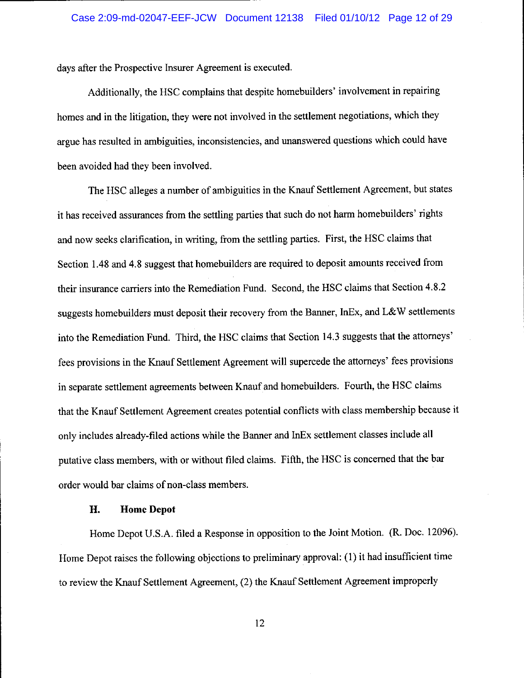days after the Prospective Insurer Agreement is executed.

Additionally, the HSC complains that despite homebuilders' involvement in repairing homes and in the litigation, they were not involved in the settlement negotiations, which they argue has resulted in ambiguities, inconsistencies, and unanswered questions which could have been avoided had they been involved.

The HSC alleges a number of ambiguities in the Knauf Settlement Agreement, but states it has received assurances from the settling parties that such do not harm homebuilders' rights and now seeks clarification, in writing, from the settling parties. First, the HSC claims that Section 1.48 and 4.8 suggest that homebuilders are required to deposit amounts received from their insurance carriers into the Remediation Fund. Second, the HSC claims that Section 4.8.2 suggests homebuilders must deposit their recovery from the Banner, InEx, and L&W settlements into the Remediation Fund. Third, the HSC claims that Section 14.3 suggests that the attorneys' fees provisions in the Knauf Settlement Agreement will supercede the attorneys' fees provisions in separate settlement agreements between Knauf and homebuilders. Fourth, the HSC claims that the Knauf Settlement Agreement creates potential conflicts with class membership because it only includes already-filed actions while the Banner and InEx settlement classes include all putative class members, with or without filed claims. Fifth, the HSC is concerned that the bar order would bar claims of non-class members.

#### H. **Home Depot**

Home Depot U.S.A. filed a Response in opposition to the Joint Motion. (R. Doc. 12096). Home Depot raises the following objections to preliminary approval: (1) it had insufficient time to review the Knauf Settlement Agreement, (2) the Knauf Settlement Agreement improperly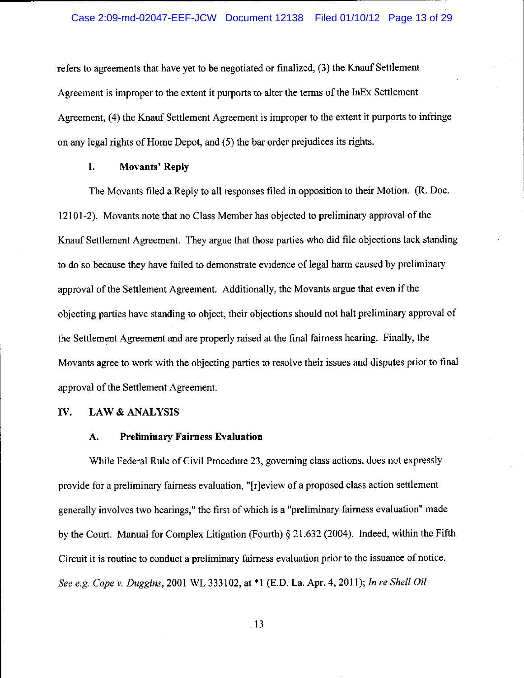refers to agreements that have yet to be negotiated or finalized, (3) the Knauf Settlement Agreement is improper to the extent it purports to alter the terms of the InEx Settlement Agreement, (4) the Knauf Settlement Agreement is improper to the extent it purports to infringe on any legal rights of Home Depot, and (5) the bar order prejudices its rights.

#### L. **Movants' Reply**

The Movants filed a Reply to all responses filed in opposition to their Motion. (R. Doc. 12101-2). Movants note that no Class Member has objected to preliminary approval of the Knauf Settlement Agreement. They argue that those parties who did file objections lack standing to do so because they have failed to demonstrate evidence of legal harm caused by preliminary approval of the Settlement Agreement. Additionally, the Movants argue that even if the objecting parties have standing to object, their objections should not halt preliminary approval of the Settlement Agreement and are properly raised at the final fairness hearing. Finally, the Movants agree to work with the objecting parties to resolve their issues and disputes prior to final approval of the Settlement Agreement.

#### IV. **LAW & ANALYSIS**

#### **Preliminary Fairness Evaluation** A.

While Federal Rule of Civil Procedure 23, governing class actions, does not expressly provide for a preliminary fairness evaluation, "[r]eview of a proposed class action settlement generally involves two hearings," the first of which is a "preliminary fairness evaluation" made by the Court. Manual for Complex Litigation (Fourth)  $\S 21.632$  (2004). Indeed, within the Fifth Circuit it is routine to conduct a preliminary fairness evaluation prior to the issuance of notice. See e.g. Cope v. Duggins, 2001 WL 333102, at \*1 (E.D. La. Apr. 4, 2011); In re Shell Oil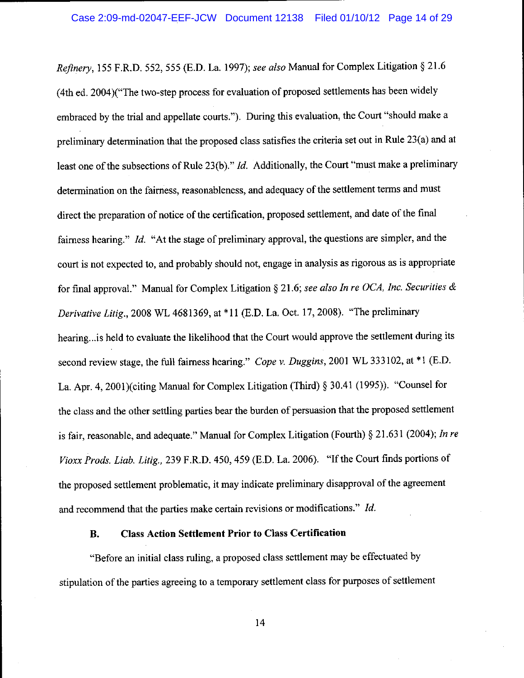Refinery, 155 F.R.D. 552, 555 (E.D. La. 1997); see also Manual for Complex Litigation § 21.6 (4th ed. 2004)("The two-step process for evaluation of proposed settlements has been widely embraced by the trial and appellate courts."). During this evaluation, the Court "should make a preliminary determination that the proposed class satisfies the criteria set out in Rule 23(a) and at least one of the subsections of Rule 23(b)."  $Id$ . Additionally, the Court "must make a preliminary determination on the fairness, reasonableness, and adequacy of the settlement terms and must direct the preparation of notice of the certification, proposed settlement, and date of the final fairness hearing." Id. "At the stage of preliminary approval, the questions are simpler, and the court is not expected to, and probably should not, engage in analysis as rigorous as is appropriate for final approval." Manual for Complex Litigation § 21.6; see also In re OCA, Inc. Securities  $\&$ Derivative Litig., 2008 WL 4681369, at \*11 (E.D. La. Oct. 17, 2008). "The preliminary hearing...is held to evaluate the likelihood that the Court would approve the settlement during its second review stage, the full fairness hearing." Cope v. Duggins, 2001 WL 333102, at \*1 (E.D. La. Apr. 4, 2001)(citing Manual for Complex Litigation (Third) § 30.41 (1995)). "Counsel for the class and the other settling parties bear the burden of persuasion that the proposed settlement is fair, reasonable, and adequate." Manual for Complex Litigation (Fourth) § 21.631 (2004); In re Vioxx Prods. Liab. Litig., 239 F.R.D. 450, 459 (E.D. La. 2006). "If the Court finds portions of the proposed settlement problematic, it may indicate preliminary disapproval of the agreement and recommend that the parties make certain revisions or modifications." Id.

#### **Class Action Settlement Prior to Class Certification B.**

"Before an initial class ruling, a proposed class settlement may be effectuated by stipulation of the parties agreeing to a temporary settlement class for purposes of settlement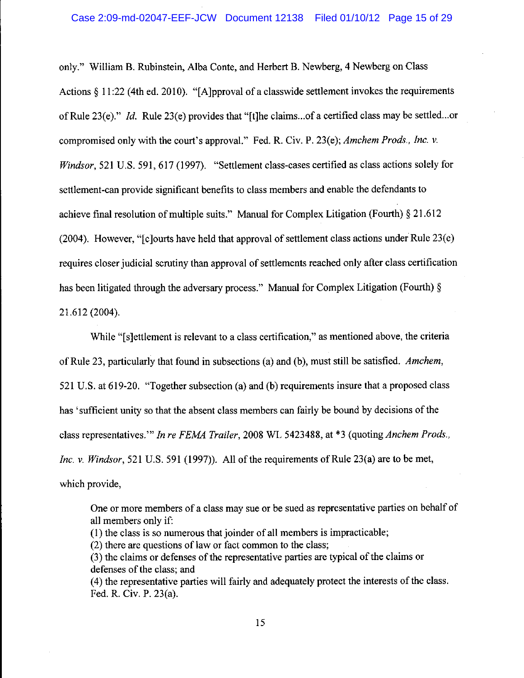### Case 2:09-md-02047-EEF-JCW Document 12138 Filed 01/10/12 Page 15 of 29

only." William B. Rubinstein, Alba Conte, and Herbert B. Newberg, 4 Newberg on Class Actions  $\S 11:22$  (4th ed. 2010). "[A] poroval of a classwide settlement invokes the requirements of Rule 23(e)." Id. Rule 23(e) provides that "[t]he claims...of a certified class may be settled...or compromised only with the court's approval." Fed. R. Civ. P. 23(e); Amchem Prods., Inc. v. Windsor, 521 U.S. 591, 617 (1997). "Settlement class-cases certified as class actions solely for settlement-can provide significant benefits to class members and enable the defendants to achieve final resolution of multiple suits." Manual for Complex Litigation (Fourth)  $\S 21.612$  $(2004)$ . However, "[c] ourts have held that approval of settlement class actions under Rule 23(e) requires closer judicial scrutiny than approval of settlements reached only after class certification has been litigated through the adversary process." Manual for Complex Litigation (Fourth) § 21.612 (2004).

While "[s]ettlement is relevant to a class certification," as mentioned above, the criteria of Rule 23, particularly that found in subsections (a) and (b), must still be satisfied. Amchem, 521 U.S. at 619-20. "Together subsection (a) and (b) requirements insure that a proposed class has 'sufficient unity so that the absent class members can fairly be bound by decisions of the class representatives." In re FEMA Trailer, 2008 WL 5423488, at \*3 (quoting Anchem Prods., Inc. v. Windsor, 521 U.S. 591 (1997)). All of the requirements of Rule 23(a) are to be met, which provide,

One or more members of a class may sue or be sued as representative parties on behalf of all members only if:

(1) the class is so numerous that joinder of all members is impracticable;

(2) there are questions of law or fact common to the class;

(3) the claims or defenses of the representative parties are typical of the claims or defenses of the class; and

(4) the representative parties will fairly and adequately protect the interests of the class. Fed. R. Civ. P. 23(a).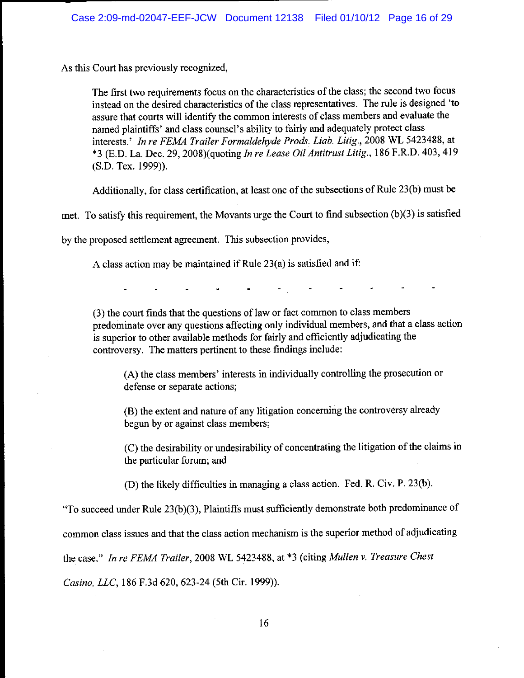As this Court has previously recognized,

The first two requirements focus on the characteristics of the class; the second two focus instead on the desired characteristics of the class representatives. The rule is designed 'to assure that courts will identify the common interests of class members and evaluate the named plaintiffs' and class counsel's ability to fairly and adequately protect class interests.' In re FEMA Trailer Formaldehyde Prods. Liab. Litig., 2008 WL 5423488, at \*3 (E.D. La. Dec. 29, 2008)(quoting In re Lease Oil Antitrust Litig., 186 F.R.D. 403, 419  $(S.D. Tex. 1999)$ ).

Additionally, for class certification, at least one of the subsections of Rule 23(b) must be

met. To satisfy this requirement, the Movants urge the Court to find subsection (b)(3) is satisfied

by the proposed settlement agreement. This subsection provides,

A class action may be maintained if Rule 23(a) is satisfied and if:

(3) the court finds that the questions of law or fact common to class members predominate over any questions affecting only individual members, and that a class action is superior to other available methods for fairly and efficiently adjudicating the controversy. The matters pertinent to these findings include:

(A) the class members' interests in individually controlling the prosecution or defense or separate actions;

(B) the extent and nature of any litigation concerning the controversy already begun by or against class members;

(C) the desirability or undesirability of concentrating the litigation of the claims in the particular forum; and

(D) the likely difficulties in managing a class action. Fed. R. Civ. P. 23(b).

"To succeed under Rule 23(b)(3), Plaintiffs must sufficiently demonstrate both predominance of

common class issues and that the class action mechanism is the superior method of adjudicating

the case." In re FEMA Trailer, 2008 WL 5423488, at \*3 (citing Mullen v. Treasure Chest

Casino, LLC, 186 F.3d 620, 623-24 (5th Cir. 1999)).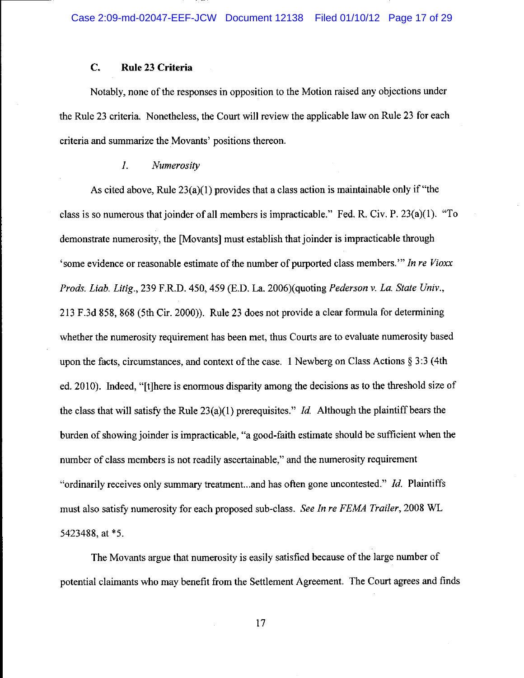#### $C_{\cdot}$ Rule 23 Criteria

Notably, none of the responses in opposition to the Motion raised any objections under the Rule 23 criteria. Nonetheless, the Court will review the applicable law on Rule 23 for each criteria and summarize the Movants' positions thereon.

#### $\overline{I}$ . Numerosity

As cited above, Rule  $23(a)(1)$  provides that a class action is maintainable only if "the class is so numerous that joinder of all members is impracticable." Fed. R. Civ. P. 23(a)(1). "To demonstrate numerosity, the [Movants] must establish that joinder is impracticable through 'some evidence or reasonable estimate of the number of purported class members." In re Vioxx Prods. Liab. Litig., 239 F.R.D. 450, 459 (E.D. La. 2006)(quoting Pederson v. La. State Univ., 213 F.3d 858, 868 (5th Cir. 2000)). Rule 23 does not provide a clear formula for determining whether the numerosity requirement has been met, thus Courts are to evaluate numerosity based upon the facts, circumstances, and context of the case. 1 Newberg on Class Actions § 3:3 (4th ed. 2010). Indeed, "[t]here is enormous disparity among the decisions as to the threshold size of the class that will satisfy the Rule  $23(a)(1)$  prerequisites." *Id.* Although the plaintiff bears the burden of showing joinder is impracticable, "a good-faith estimate should be sufficient when the number of class members is not readily ascertainable," and the numerosity requirement "ordinarily receives only summary treatment...and has often gone uncontested." Id. Plaintiffs must also satisfy numerosity for each proposed sub-class. See In re FEMA Trailer, 2008 WL 5423488, at \*5.

The Movants argue that numerosity is easily satisfied because of the large number of potential claimants who may benefit from the Settlement Agreement. The Court agrees and finds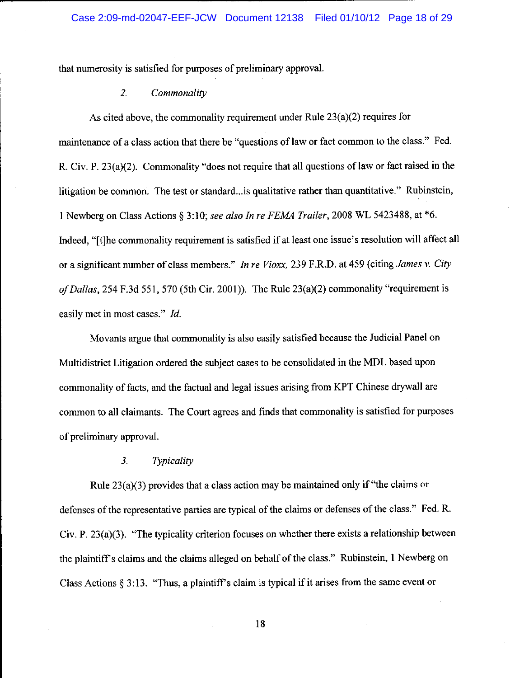that numerosity is satisfied for purposes of preliminary approval.

#### $2.$ Commonality

As cited above, the commonality requirement under Rule  $23(a)(2)$  requires for maintenance of a class action that there be "questions of law or fact common to the class." Fed. R. Civ. P. 23(a)(2). Commonality "does not require that all questions of law or fact raised in the litigation be common. The test or standard... is qualitative rather than quantitative." Rubinstein, 1 Newberg on Class Actions § 3:10; see also In re FEMA Trailer, 2008 WL 5423488, at \*6. Indeed, "[t]he commonality requirement is satisfied if at least one issue's resolution will affect all or a significant number of class members." In re Vioxx, 239 F.R.D. at 459 (citing James v. City of Dallas, 254 F.3d 551, 570 (5th Cir. 2001)). The Rule  $23(a)(2)$  commonality "requirement is easily met in most cases." Id.

Movants argue that commonality is also easily satisfied because the Judicial Panel on Multidistrict Litigation ordered the subject cases to be consolidated in the MDL based upon commonality of facts, and the factual and legal issues arising from KPT Chinese drywall are common to all claimants. The Court agrees and finds that commonality is satisfied for purposes of preliminary approval.

#### Typicality  $3<sub>1</sub>$

Rule  $23(a)(3)$  provides that a class action may be maintained only if "the claims or defenses of the representative parties are typical of the claims or defenses of the class." Fed. R. Civ. P.  $23(a)(3)$ . "The typicality criterion focuses on whether there exists a relationship between the plaintiff's claims and the claims alleged on behalf of the class." Rubinstein, 1 Newberg on Class Actions § 3:13. "Thus, a plaintiff's claim is typical if it arises from the same event or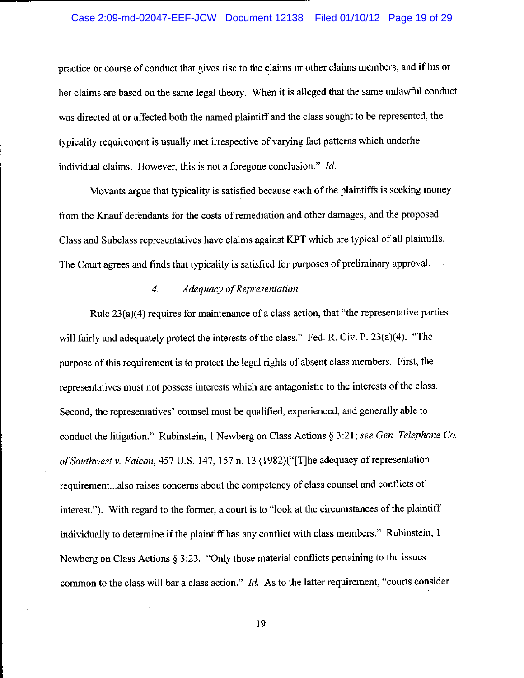# Case 2:09-md-02047-EEF-JCW Document 12138 Filed 01/10/12 Page 19 of 29

practice or course of conduct that gives rise to the claims or other claims members, and if his or her claims are based on the same legal theory. When it is alleged that the same unlawful conduct was directed at or affected both the named plaintiff and the class sought to be represented, the typicality requirement is usually met irrespective of varying fact patterns which underlie individual claims. However, this is not a foregone conclusion." Id.

Movants argue that typicality is satisfied because each of the plaintiffs is seeking money from the Knauf defendants for the costs of remediation and other damages, and the proposed Class and Subclass representatives have claims against KPT which are typical of all plaintiffs. The Court agrees and finds that typicality is satisfied for purposes of preliminary approval.

#### Adequacy of Representation  $\overline{4}$ .

Rule  $23(a)(4)$  requires for maintenance of a class action, that "the representative parties will fairly and adequately protect the interests of the class." Fed. R. Civ. P. 23(a)(4). "The purpose of this requirement is to protect the legal rights of absent class members. First, the representatives must not possess interests which are antagonistic to the interests of the class. Second, the representatives' counsel must be qualified, experienced, and generally able to conduct the litigation." Rubinstein, 1 Newberg on Class Actions § 3:21; see Gen. Telephone Co. of Southwest v. Falcon, 457 U.S. 147, 157 n. 13 (1982)("[T]he adequacy of representation requirement...also raises concerns about the competency of class counsel and conflicts of interest."). With regard to the former, a court is to "look at the circumstances of the plaintiff individually to determine if the plaintiff has any conflict with class members." Rubinstein, 1 Newberg on Class Actions  $\S 3:23$ . "Only those material conflicts pertaining to the issues common to the class will bar a class action."  $Id$ . As to the latter requirement, "courts consider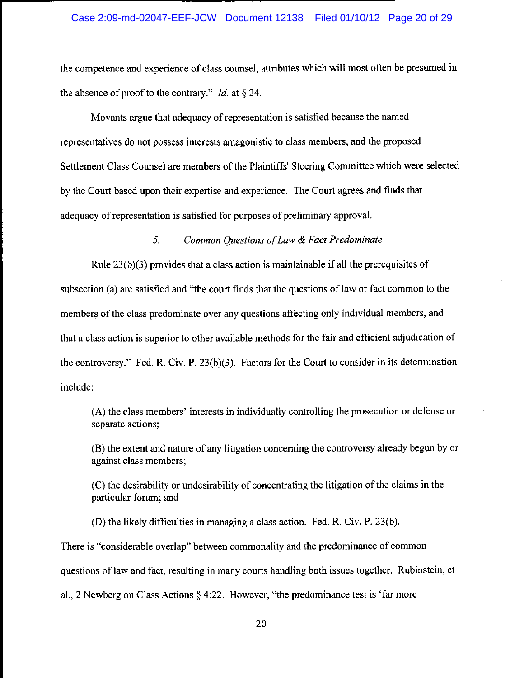the competence and experience of class counsel, attributes which will most often be presumed in the absence of proof to the contrary." *Id.* at  $\S$  24.

Movants argue that adequacy of representation is satisfied because the named representatives do not possess interests antagonistic to class members, and the proposed Settlement Class Counsel are members of the Plaintiffs' Steering Committee which were selected by the Court based upon their expertise and experience. The Court agrees and finds that adequacy of representation is satisfied for purposes of preliminary approval.

#### $5<sub>1</sub>$ Common Questions of Law & Fact Predominate

Rule  $23(b)(3)$  provides that a class action is maintainable if all the prerequisites of subsection (a) are satisfied and "the court finds that the questions of law or fact common to the members of the class predominate over any questions affecting only individual members, and that a class action is superior to other available methods for the fair and efficient adjudication of the controversy." Fed. R. Civ. P.  $23(b)(3)$ . Factors for the Court to consider in its determination include:

(A) the class members' interests in individually controlling the prosecution or defense or separate actions;

(B) the extent and nature of any litigation concerning the controversy already begun by or against class members;

(C) the desirability or undesirability of concentrating the litigation of the claims in the particular forum; and

(D) the likely difficulties in managing a class action. Fed. R. Civ. P. 23(b).

There is "considerable overlap" between commonality and the predominance of common questions of law and fact, resulting in many courts handling both issues together. Rubinstein, et al., 2 Newberg on Class Actions  $\S$  4:22. However, "the predominance test is 'far more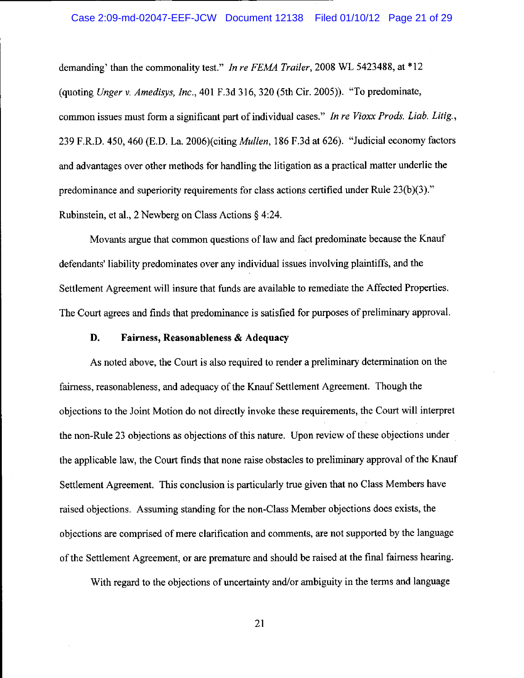### Case 2:09-md-02047-EEF-JCW Document 12138 Filed 01/10/12 Page 21 of 29

demanding' than the commonality test." In re FEMA Trailer, 2008 WL 5423488, at \*12 (quoting Unger v. Amedisys, Inc., 401 F.3d 316, 320 (5th Cir. 2005)). "To predominate, common issues must form a significant part of individual cases." In re Vioxx Prods. Liab. Litig., 239 F.R.D. 450, 460 (E.D. La. 2006)(citing *Mullen*, 186 F.3d at 626). "Judicial economy factors and advantages over other methods for handling the litigation as a practical matter underlie the predominance and superiority requirements for class actions certified under Rule 23(b)(3)." Rubinstein, et al., 2 Newberg on Class Actions  $\S$  4:24.

Movants argue that common questions of law and fact predominate because the Knauf defendants' liability predominates over any individual issues involving plaintiffs, and the Settlement Agreement will insure that funds are available to remediate the Affected Properties. The Court agrees and finds that predominance is satisfied for purposes of preliminary approval.

#### D. Fairness, Reasonableness & Adequacy

As noted above, the Court is also required to render a preliminary determination on the fairness, reasonableness, and adequacy of the Knauf Settlement Agreement. Though the objections to the Joint Motion do not directly invoke these requirements, the Court will interpret the non-Rule 23 objections as objections of this nature. Upon review of these objections under the applicable law, the Court finds that none raise obstacles to preliminary approval of the Knauf Settlement Agreement. This conclusion is particularly true given that no Class Members have raised objections. Assuming standing for the non-Class Member objections does exists, the objections are comprised of mere clarification and comments, are not supported by the language of the Settlement Agreement, or are premature and should be raised at the final fairness hearing.

With regard to the objections of uncertainty and/or ambiguity in the terms and language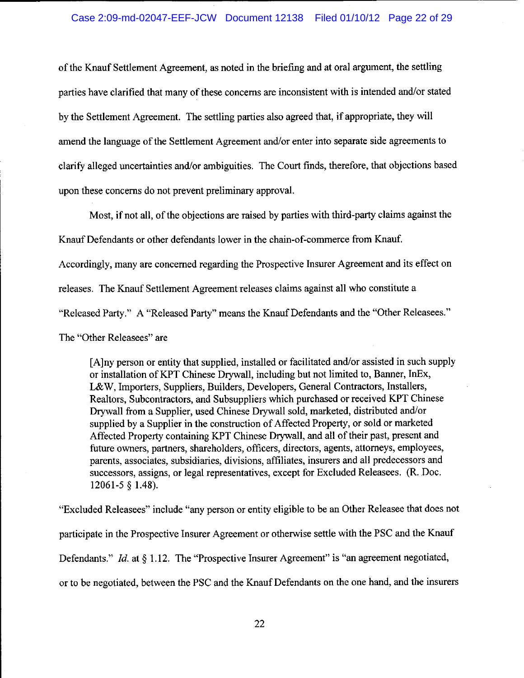of the Knauf Settlement Agreement, as noted in the briefing and at oral argument, the settling parties have clarified that many of these concerns are inconsistent with is intended and/or stated by the Settlement Agreement. The settling parties also agreed that, if appropriate, they will amend the language of the Settlement Agreement and/or enter into separate side agreements to clarify alleged uncertainties and/or ambiguities. The Court finds, therefore, that objections based upon these concerns do not prevent preliminary approval.

Most, if not all, of the objections are raised by parties with third-party claims against the

Knauf Defendants or other defendants lower in the chain-of-commerce from Knauf.

Accordingly, many are concerned regarding the Prospective Insurer Agreement and its effect on

releases. The Knauf Settlement Agreement releases claims against all who constitute a

"Released Party." A "Released Party" means the Knauf Defendants and the "Other Releasees."

The "Other Releasees" are

[A] ny person or entity that supplied, installed or facilitated and/or assisted in such supply or installation of KPT Chinese Drywall, including but not limited to, Banner, InEx, L&W, Importers, Suppliers, Builders, Developers, General Contractors, Installers, Realtors, Subcontractors, and Subsuppliers which purchased or received KPT Chinese Drywall from a Supplier, used Chinese Drywall sold, marketed, distributed and/or supplied by a Supplier in the construction of Affected Property, or sold or marketed Affected Property containing KPT Chinese Drywall, and all of their past, present and future owners, partners, shareholders, officers, directors, agents, attorneys, employees, parents, associates, subsidiaries, divisions, affiliates, insurers and all predecessors and successors, assigns, or legal representatives, except for Excluded Releasees. (R. Doc.  $12061 - 5 \S 1.48$ ).

"Excluded Releasees" include "any person or entity eligible to be an Other Releasee that does not participate in the Prospective Insurer Agreement or otherwise settle with the PSC and the Knauf Defendants." *Id.* at § 1.12. The "Prospective Insurer Agreement" is "an agreement negotiated, or to be negotiated, between the PSC and the Knauf Defendants on the one hand, and the insurers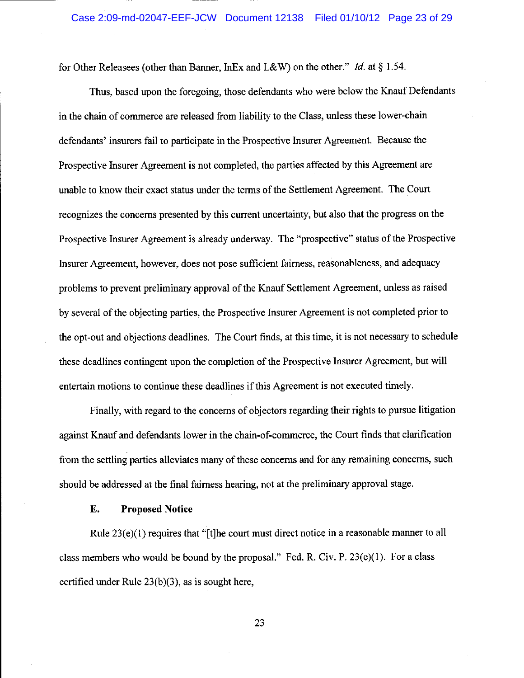for Other Releasees (other than Banner, InEx and L&W) on the other." Id. at  $\S 1.54$ .

Thus, based upon the foregoing, those defendants who were below the Knauf Defendants in the chain of commerce are released from liability to the Class, unless these lower-chain defendants' insurers fail to participate in the Prospective Insurer Agreement. Because the Prospective Insurer Agreement is not completed, the parties affected by this Agreement are unable to know their exact status under the terms of the Settlement Agreement. The Court recognizes the concerns presented by this current uncertainty, but also that the progress on the Prospective Insurer Agreement is already underway. The "prospective" status of the Prospective Insurer Agreement, however, does not pose sufficient fairness, reasonableness, and adequacy problems to prevent preliminary approval of the Knauf Settlement Agreement, unless as raised by several of the objecting parties, the Prospective Insurer Agreement is not completed prior to the opt-out and objections deadlines. The Court finds, at this time, it is not necessary to schedule these deadlines contingent upon the completion of the Prospective Insurer Agreement, but will entertain motions to continue these deadlines if this Agreement is not executed timely.

Finally, with regard to the concerns of objectors regarding their rights to pursue litigation against Knauf and defendants lower in the chain-of-commerce, the Court finds that clarification from the settling parties alleviates many of these concerns and for any remaining concerns, such should be addressed at the final fairness hearing, not at the preliminary approval stage.

#### **Proposed Notice** Е.

Rule  $23(e)(1)$  requires that "[t] he court must direct notice in a reasonable manner to all class members who would be bound by the proposal." Fed. R. Civ. P.  $23(e)(1)$ . For a class certified under Rule 23(b)(3), as is sought here,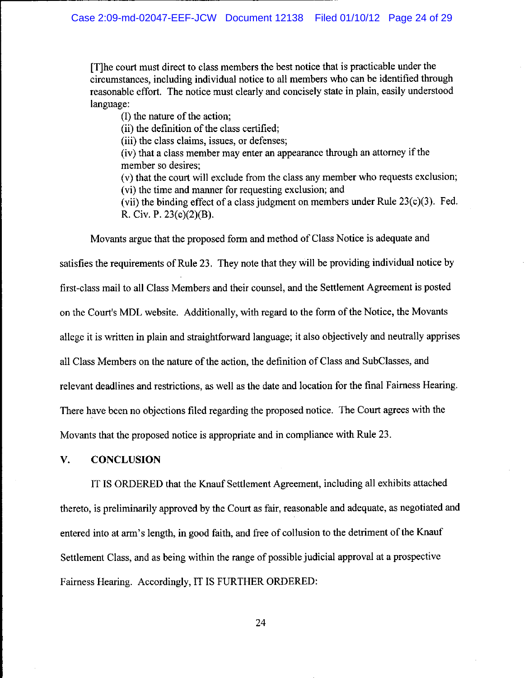[T] he court must direct to class members the best notice that is practicable under the circumstances, including individual notice to all members who can be identified through reasonable effort. The notice must clearly and concisely state in plain, easily understood language:

(I) the nature of the action;

(ii) the definition of the class certified;

(iii) the class claims, issues, or defenses;

(iv) that a class member may enter an appearance through an attorney if the member so desires;

(v) that the court will exclude from the class any member who requests exclusion; (vi) the time and manner for requesting exclusion; and

(vii) the binding effect of a class judgment on members under Rule  $23(c)(3)$ . Fed. R. Civ. P. 23(c)(2)(B).

Movants argue that the proposed form and method of Class Notice is adequate and satisfies the requirements of Rule 23. They note that they will be providing individual notice by first-class mail to all Class Members and their counsel, and the Settlement Agreement is posted on the Court's MDL website. Additionally, with regard to the form of the Notice, the Movants allege it is written in plain and straightforward language; it also objectively and neutrally apprises all Class Members on the nature of the action, the definition of Class and SubClasses, and relevant deadlines and restrictions, as well as the date and location for the final Fairness Hearing. There have been no objections filed regarding the proposed notice. The Court agrees with the Movants that the proposed notice is appropriate and in compliance with Rule 23.

#### V. **CONCLUSION**

IT IS ORDERED that the Knauf Settlement Agreement, including all exhibits attached thereto, is preliminarily approved by the Court as fair, reasonable and adequate, as negotiated and entered into at arm's length, in good faith, and free of collusion to the detriment of the Knauf Settlement Class, and as being within the range of possible judicial approval at a prospective Fairness Hearing. Accordingly, IT IS FURTHER ORDERED: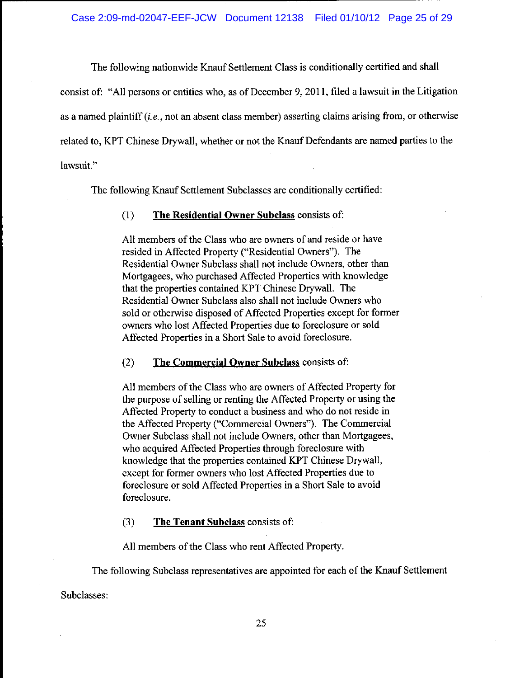The following nationwide Knauf Settlement Class is conditionally certified and shall consist of: "All persons or entities who, as of December 9, 2011, filed a lawsuit in the Litigation as a named plaintiff *(i.e.*, not an absent class member) asserting claims arising from, or otherwise related to, KPT Chinese Drywall, whether or not the Knauf Defendants are named parties to the lawsuit."

The following Knauf Settlement Subclasses are conditionally certified:

#### The Residential Owner Subclass consists of:  $(1)$

All members of the Class who are owners of and reside or have resided in Affected Property ("Residential Owners"). The Residential Owner Subclass shall not include Owners, other than Mortgagees, who purchased Affected Properties with knowledge that the properties contained KPT Chinese Drywall. The Residential Owner Subclass also shall not include Owners who sold or otherwise disposed of Affected Properties except for former owners who lost Affected Properties due to foreclosure or sold Affected Properties in a Short Sale to avoid foreclosure.

#### $(2)$ The Commercial Owner Subclass consists of:

All members of the Class who are owners of Affected Property for the purpose of selling or renting the Affected Property or using the Affected Property to conduct a business and who do not reside in the Affected Property ("Commercial Owners"). The Commercial Owner Subclass shall not include Owners, other than Mortgagees, who acquired Affected Properties through foreclosure with knowledge that the properties contained KPT Chinese Drywall, except for former owners who lost Affected Properties due to foreclosure or sold Affected Properties in a Short Sale to avoid foreclosure.

 $(3)$ The Tenant Subclass consists of:

All members of the Class who rent Affected Property.

The following Subclass representatives are appointed for each of the Knauf Settlement

Subclasses: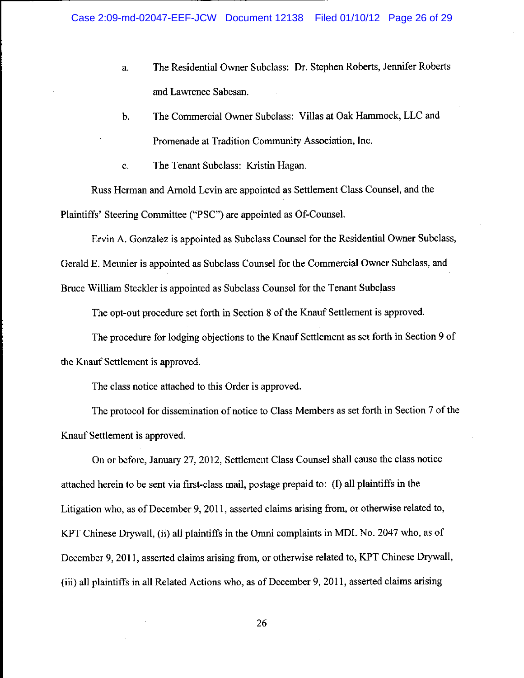- The Residential Owner Subclass: Dr. Stephen Roberts, Jennifer Roberts  $a_{\cdot}$ and Lawrence Sabesan.
- The Commercial Owner Subclass: Villas at Oak Hammock, LLC and b. Promenade at Tradition Community Association, Inc.
- The Tenant Subclass: Kristin Hagan. c.

Russ Herman and Arnold Levin are appointed as Settlement Class Counsel, and the Plaintiffs' Steering Committee ("PSC") are appointed as Of-Counsel.

Ervin A. Gonzalez is appointed as Subclass Counsel for the Residential Owner Subclass,

Gerald E. Meunier is appointed as Subclass Counsel for the Commercial Owner Subclass, and

Bruce William Steckler is appointed as Subclass Counsel for the Tenant Subclass

The opt-out procedure set forth in Section 8 of the Knauf Settlement is approved.

The procedure for lodging objections to the Knauf Settlement as set forth in Section 9 of the Knauf Settlement is approved.

The class notice attached to this Order is approved.

The protocol for dissemination of notice to Class Members as set forth in Section 7 of the Knauf Settlement is approved.

On or before, January 27, 2012, Settlement Class Counsel shall cause the class notice attached herein to be sent via first-class mail, postage prepaid to: (I) all plaintiffs in the Litigation who, as of December 9, 2011, asserted claims arising from, or otherwise related to, KPT Chinese Drywall, (ii) all plaintiffs in the Omni complaints in MDL No. 2047 who, as of December 9, 2011, asserted claims arising from, or otherwise related to, KPT Chinese Drywall, (iii) all plaintiffs in all Related Actions who, as of December 9, 2011, asserted claims arising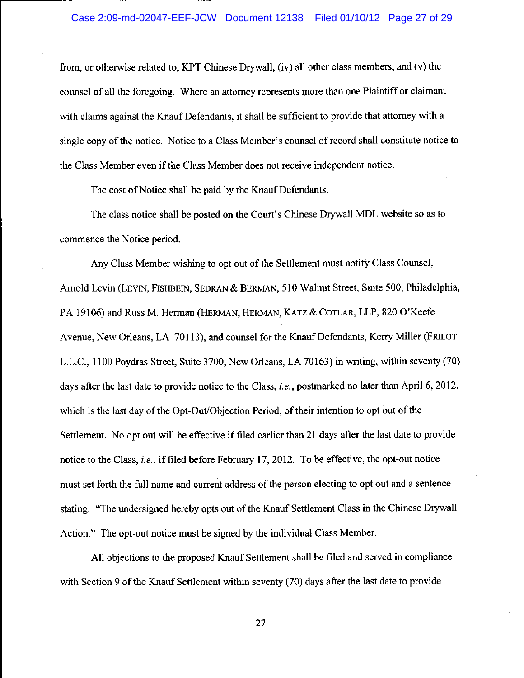### Case 2:09-md-02047-EEF-JCW Document 12138 Filed 01/10/12 Page 27 of 29

from, or otherwise related to, KPT Chinese Drywall, (iv) all other class members, and (v) the counsel of all the foregoing. Where an attorney represents more than one Plaintiff or claimant with claims against the Knauf Defendants, it shall be sufficient to provide that attorney with a single copy of the notice. Notice to a Class Member's counsel of record shall constitute notice to the Class Member even if the Class Member does not receive independent notice.

The cost of Notice shall be paid by the Knauf Defendants.

The class notice shall be posted on the Court's Chinese Drywall MDL website so as to commence the Notice period.

Any Class Member wishing to opt out of the Settlement must notify Class Counsel, Arnold Levin (LEVIN, FISHBEIN, SEDRAN & BERMAN, 510 Walnut Street, Suite 500, Philadelphia, PA 19106) and Russ M. Herman (HERMAN, HERMAN, KATZ & COTLAR, LLP, 820 O'Keefe Avenue, New Orleans, LA 70113), and counsel for the Knauf Defendants, Kerry Miller (FRILOT L.L.C., 1100 Poydras Street, Suite 3700, New Orleans, LA 70163) in writing, within seventy (70) days after the last date to provide notice to the Class, *i.e.*, postmarked no later than April 6, 2012, which is the last day of the Opt-Out/Objection Period, of their intention to opt out of the Settlement. No opt out will be effective if filed earlier than 21 days after the last date to provide notice to the Class, *i.e.*, if filed before February 17, 2012. To be effective, the opt-out notice must set forth the full name and current address of the person electing to opt out and a sentence stating: "The undersigned hereby opts out of the Knauf Settlement Class in the Chinese Drywall Action." The opt-out notice must be signed by the individual Class Member.

All objections to the proposed Knauf Settlement shall be filed and served in compliance with Section 9 of the Knauf Settlement within seventy (70) days after the last date to provide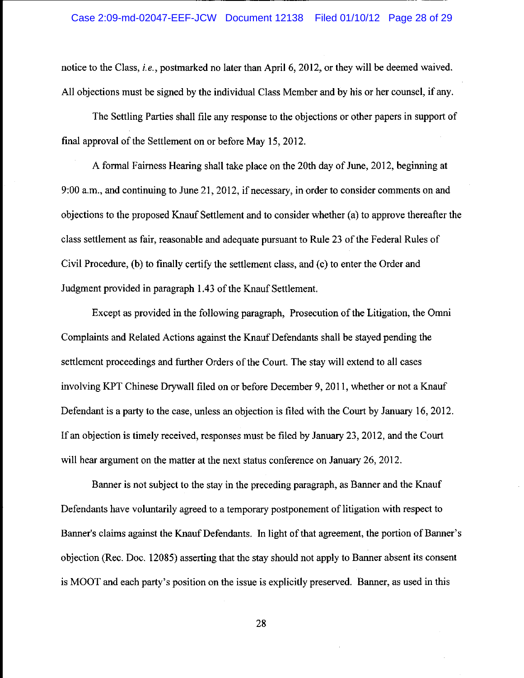## Case 2:09-md-02047-EEF-JCW Document 12138 Filed 01/10/12 Page 28 of 29

notice to the Class, *i.e.*, postmarked no later than April 6, 2012, or they will be deemed waived. All objections must be signed by the individual Class Member and by his or her counsel, if any.

The Settling Parties shall file any response to the objections or other papers in support of final approval of the Settlement on or before May 15, 2012.

A formal Fairness Hearing shall take place on the 20th day of June, 2012, beginning at 9:00 a.m., and continuing to June 21, 2012, if necessary, in order to consider comments on and objections to the proposed Knauf Settlement and to consider whether (a) to approve thereafter the class settlement as fair, reasonable and adequate pursuant to Rule 23 of the Federal Rules of Civil Procedure, (b) to finally certify the settlement class, and (c) to enter the Order and Judgment provided in paragraph 1.43 of the Knauf Settlement.

Except as provided in the following paragraph, Prosecution of the Litigation, the Omni Complaints and Related Actions against the Knauf Defendants shall be stayed pending the settlement proceedings and further Orders of the Court. The stay will extend to all cases involving KPT Chinese Drywall filed on or before December 9, 2011, whether or not a Knauf Defendant is a party to the case, unless an objection is filed with the Court by January 16, 2012. If an objection is timely received, responses must be filed by January 23, 2012, and the Court will hear argument on the matter at the next status conference on January 26, 2012.

Banner is not subject to the stay in the preceding paragraph, as Banner and the Knauf Defendants have voluntarily agreed to a temporary postponement of litigation with respect to Banner's claims against the Knauf Defendants. In light of that agreement, the portion of Banner's objection (Rec. Doc. 12085) asserting that the stay should not apply to Banner absent its consent is MOOT and each party's position on the issue is explicitly preserved. Banner, as used in this